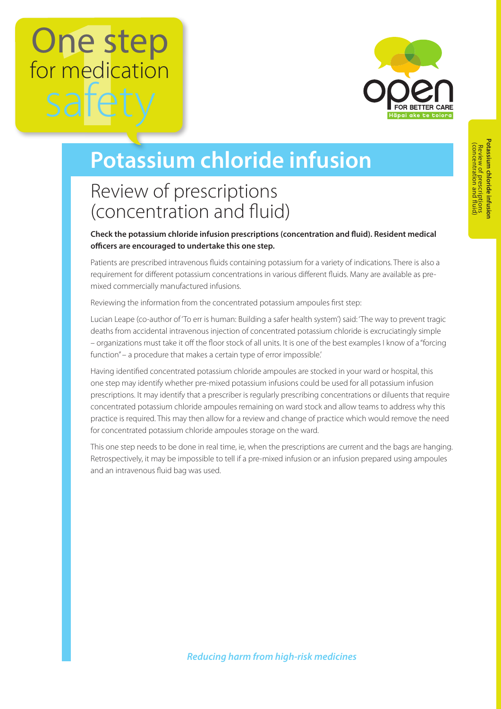# One step for medication safe



## **Potassium chloride infusion**

### Review of prescriptions (concentration and fluid)

**Check the potassium chloride infusion prescriptions (concentration and fluid). Resident medical officers are encouraged to undertake this one step.**

Patients are prescribed intravenous fluids containing potassium for a variety of indications. There is also a requirement for different potassium concentrations in various different fluids. Many are available as premixed commercially manufactured infusions.

Reviewing the information from the concentrated potassium ampoules first step:

Lucian Leape (co-author of 'To err is human: Building a safer health system') said: 'The way to prevent tragic deaths from accidental intravenous injection of concentrated potassium chloride is excruciatingly simple – organizations must take it off the floor stock of all units. It is one of the best examples I know of a "forcing function" – a procedure that makes a certain type of error impossible.'

Having identified concentrated potassium chloride ampoules are stocked in your ward or hospital, this one step may identify whether pre-mixed potassium infusions could be used for all potassium infusion prescriptions. It may identify that a prescriber is regularly prescribing concentrations or diluents that require concentrated potassium chloride ampoules remaining on ward stock and allow teams to address why this practice is required. This may then allow for a review and change of practice which would remove the need for concentrated potassium chloride ampoules storage on the ward.

This one step needs to be done in real time, ie, when the prescriptions are current and the bags are hanging. Retrospectively, it may be impossible to tell if a pre-mixed infusion or an infusion prepared using ampoules and an intravenous fluid bag was used.

*Reducing harm from high-risk medicines*